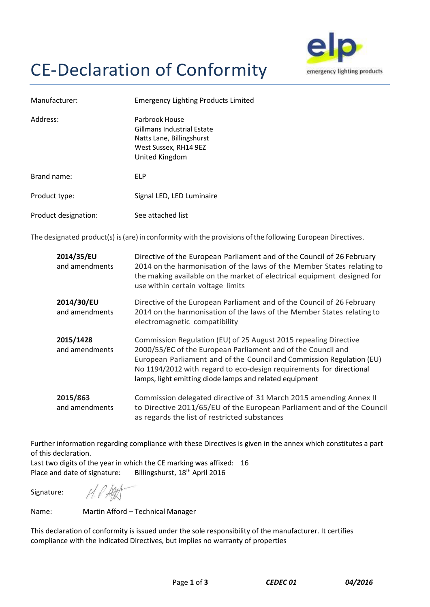## CE-Declaration of Conformity



| Manufacturer:        | <b>Emergency Lighting Products Limited</b>                                                                           |
|----------------------|----------------------------------------------------------------------------------------------------------------------|
| Address:             | Parbrook House<br>Gillmans Industrial Estate<br>Natts Lane, Billingshurst<br>West Sussex, RH14 9EZ<br>United Kingdom |
| Brand name:          | <b>FLP</b>                                                                                                           |
| Product type:        | Signal LED, LED Luminaire                                                                                            |
| Product designation: | See attached list                                                                                                    |

The designated product(s) is (are) in conformity with the provisions of the following European Directives.

| 2014/35/EU<br>and amendments | Directive of the European Parliament and of the Council of 26 February<br>2014 on the harmonisation of the laws of the Member States relating to<br>the making available on the market of electrical equipment designed for<br>use within certain voltage limits                                                                            |
|------------------------------|---------------------------------------------------------------------------------------------------------------------------------------------------------------------------------------------------------------------------------------------------------------------------------------------------------------------------------------------|
| 2014/30/EU<br>and amendments | Directive of the European Parliament and of the Council of 26 February<br>2014 on the harmonisation of the laws of the Member States relating to<br>electromagnetic compatibility                                                                                                                                                           |
| 2015/1428<br>and amendments  | Commission Regulation (EU) of 25 August 2015 repealing Directive<br>2000/55/EC of the European Parliament and of the Council and<br>European Parliament and of the Council and Commission Regulation (EU)<br>No 1194/2012 with regard to eco-design requirements for directional<br>lamps, light emitting diode lamps and related equipment |
| 2015/863<br>and amendments   | Commission delegated directive of 31 March 2015 amending Annex II<br>to Directive 2011/65/EU of the European Parliament and of the Council<br>as regards the list of restricted substances                                                                                                                                                  |

Further information regarding compliance with these Directives is given in the annex which constitutes a part of this declaration.

Last two digits of the year in which the CE marking was affixed: 16 Place and date of signature: Billingshurst, 18<sup>th</sup> April 2016

Signature:

H.PART

Name: Martin Afford – Technical Manager

This declaration of conformity is issued under the sole responsibility of the manufacturer. It certifies compliance with the indicated Directives, but implies no warranty of properties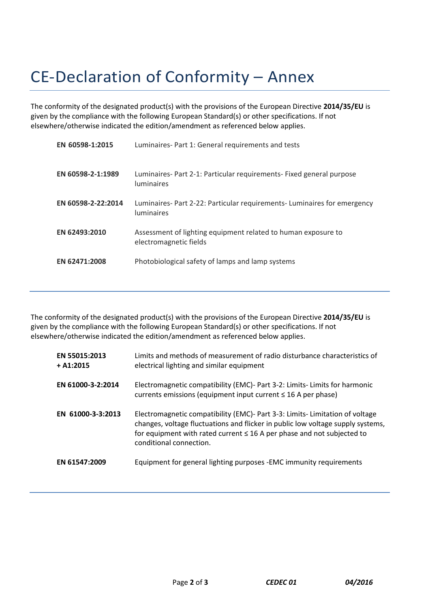## CE-Declaration of Conformity – Annex

The conformity of the designated product(s) with the provisions of the European Directive **2014/35/EU** is given by the compliance with the following European Standard(s) or other specifications. If not elsewhere/otherwise indicated the edition/amendment as referenced below applies.

| EN 60598-1:2015    | Luminaires- Part 1: General requirements and tests                                            |
|--------------------|-----------------------------------------------------------------------------------------------|
| EN 60598-2-1:1989  | Luminaires- Part 2-1: Particular requirements- Fixed general purpose<br><b>luminaires</b>     |
| EN 60598-2-22:2014 | Luminaires- Part 2-22: Particular requirements- Luminaires for emergency<br><b>luminaires</b> |
| EN 62493:2010      | Assessment of lighting equipment related to human exposure to<br>electromagnetic fields       |
| EN 62471:2008      | Photobiological safety of lamps and lamp systems                                              |

The conformity of the designated product(s) with the provisions of the European Directive **2014/35/EU** is given by the compliance with the following European Standard(s) or other specifications. If not elsewhere/otherwise indicated the edition/amendment as referenced below applies.

| EN 55015:2013<br>$+ A1:2015$ | Limits and methods of measurement of radio disturbance characteristics of<br>electrical lighting and similar equipment                                                                                                                                                    |
|------------------------------|---------------------------------------------------------------------------------------------------------------------------------------------------------------------------------------------------------------------------------------------------------------------------|
| EN 61000-3-2:2014            | Electromagnetic compatibility (EMC)- Part 3-2: Limits- Limits for harmonic<br>currents emissions (equipment input current $\leq 16$ A per phase)                                                                                                                          |
| EN 61000-3-3:2013            | Electromagnetic compatibility (EMC)- Part 3-3: Limits- Limitation of voltage<br>changes, voltage fluctuations and flicker in public low voltage supply systems,<br>for equipment with rated current $\leq$ 16 A per phase and not subjected to<br>conditional connection. |
| EN 61547:2009                | Equipment for general lighting purposes - EMC immunity requirements                                                                                                                                                                                                       |